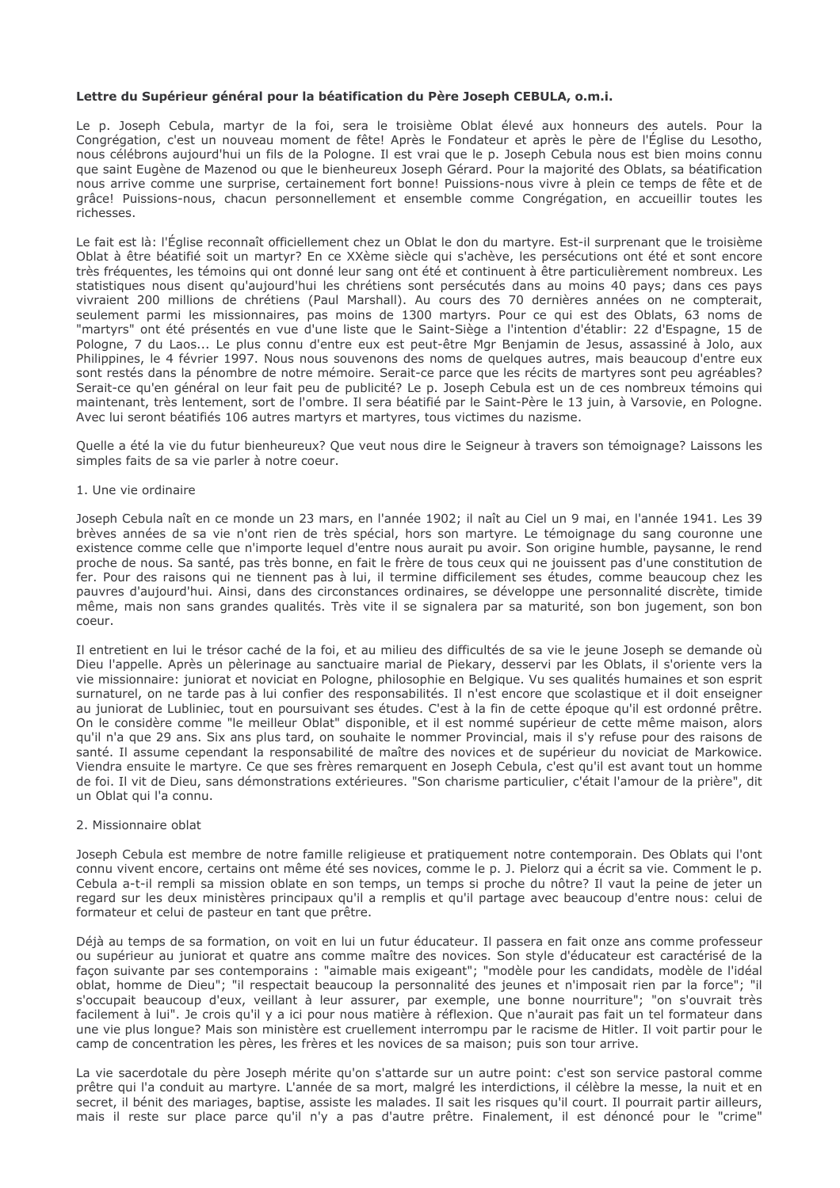## Lettre du Supérieur général pour la béatification du Père Joseph CEBULA, o.m.i.

Le p. Joseph Cebula, martyr de la foi, sera le troisième Oblat élevé aux honneurs des autels. Pour la Congrégation, c'est un nouveau moment de fête! Après le Fondateur et après le père de l'Église du Lesotho, nous célébrons aujourd'hui un fils de la Pologne. Il est vrai que le p. Joseph Cebula nous est bien moins connu que saint Eugène de Mazenod ou que le bienheureux Joseph Gérard. Pour la majorité des Oblats, sa béatification nous arrive comme une surprise, certainement fort bonne! Puissions-nous vivre à plein ce temps de fête et de grâce! Puissions-nous, chacun personnellement et ensemble comme Congrégation, en accueillir toutes les richesses.

Le fait est là: l'Église reconnaît officiellement chez un Oblat le don du martyre. Est-il surprenant que le troisième Oblat à être béatifié soit un martyr? En ce XXème siècle qui s'achève, les persécutions ont été et sont encore très fréquentes, les témoins qui ont donné leur sang ont été et continuent à être particulièrement nombreux. Les statistiques nous disent qu'aujourd'hui les chrétiens sont persécutés dans au moins 40 pays; dans ces pays vivraient 200 millions de chrétiens (Paul Marshall). Au cours des 70 dernières années on ne compterait, seulement parmi les missionnaires, pas moins de 1300 martyrs. Pour ce qui est des Oblats, 63 noms de "martyrs" ont été présentés en vue d'une liste que le Saint-Siège a l'intention d'établir: 22 d'Espagne, 15 de Pologne, 7 du Laos... Le plus connu d'entre eux est peut-être Mgr Benjamin de Jesus, assassiné à Jolo, aux Philippines, le 4 février 1997. Nous nous souvenons des noms de quelques autres, mais beaucoup d'entre eux sont restés dans la pénombre de notre mémoire. Serait-ce parce que les récits de martyres sont peu agréables? Serait-ce qu'en général on leur fait peu de publicité? Le p. Joseph Cebula est un de ces nombreux témoins qui maintenant, très lentement, sort de l'ombre. Il sera béatifié par le Saint-Père le 13 juin, à Varsovie, en Pologne. Avec lui seront béatifiés 106 autres martyrs et martyres, tous victimes du nazisme.

Quelle a été la vie du futur bienheureux? Que veut nous dire le Seigneur à travers son témoignage? Laissons les simples faits de sa vie parler à notre coeur.

## 1. Une vie ordinaire

Joseph Cebula naît en ce monde un 23 mars, en l'année 1902; il naît au Ciel un 9 mai, en l'année 1941, Les 39 brèves années de sa vie n'ont rien de très spécial, hors son martyre. Le témoignage du sang couronne une existence comme celle que n'importe lequel d'entre nous aurait pu avoir. Son origine humble, paysanne, le rend proche de nous. Sa santé, pas très bonne, en fait le frère de tous ceux qui ne jouissent pas d'une constitution de fer. Pour des raisons qui ne tiennent pas à lui, il termine difficilement ses études, comme beaucoup chez les pauvres d'aujourd'hui. Ainsi, dans des circonstances ordinaires, se développe une personnalité discrète, timide même, mais non sans grandes qualités. Très vite il se signalera par sa maturité, son bon jugement, son bon COPUL

Il entretient en lui le trésor caché de la foi, et au milieu des difficultés de sa vie le jeune Joseph se demande où Dieu l'appelle. Après un pèlerinage au sanctuaire marial de Piekary, desservi par les Oblats, il s'oriente vers la vie missionnaire: juniorat et noviciat en Pologne, philosophie en Belgique. Vu ses qualités humaines et son esprit surnaturel, on ne tarde pas à lui confier des responsabilités. Il n'est encore que scolastique et il doit enseigner au juniorat de Lubliniec, tout en poursuivant ses études. C'est à la fin de cette époque qu'il est ordonné prêtre. On le considère comme "le meilleur Oblat" disponible, et il est nommé supérieur de cette même maison, alors gu'il n'a que 29 ans. Six ans plus tard, on souhaite le nommer Provincial, mais il s'y refuse pour des raisons de santé. Il assume cependant la responsabilité de maître des novices et de supérieur du noviciat de Markowice. Viendra ensuite le martyre. Ce que ses frères remarquent en Joseph Cebula, c'est qu'il est avant tout un homme de foi. Il vit de Dieu, sans démonstrations extérieures. "Son charisme particulier, c'était l'amour de la prière", dit un Oblat qui l'a connu.

## 2. Missionnaire oblat

Joseph Cebula est membre de notre famille religieuse et pratiquement notre contemporain. Des Oblats qui l'ont connu vivent encore, certains ont même été ses novices, comme le p. J. Pielorz qui a écrit sa vie. Comment le p. Cebula a-t-il rempli sa mission oblate en son temps, un temps si proche du nôtre? Il vaut la peine de jeter un regard sur les deux ministères principaux qu'il a remplis et qu'il partage avec beaucoup d'entre nous: celui de formateur et celui de pasteur en tant que prêtre.

Déjà au temps de sa formation, on voit en lui un futur éducateur. Il passera en fait onze ans comme professeur ou supérieur au juniorat et quatre ans comme maître des novices. Son style d'éducateur est caractérisé de la façon suivante par ses contemporains : "aimable mais exigeant"; "modèle pour les candidats, modèle de l'idéal oblat, homme de Dieu"; "il respectait beaucoup la personnalité des jeunes et n'imposait rien par la force"; "il s'occupait beaucoup d'eux, veillant à leur assurer, par exemple, une bonne nourriture"; "on s'ouvrait très facilement à lui". Je crois qu'il y a ici pour nous matière à réflexion. Que n'aurait pas fait un tel formateur dans une vie plus longue? Mais son ministère est cruellement interrompu par le racisme de Hitler. Il voit partir pour le camp de concentration les pères, les frères et les novices de sa maison; puis son tour arrive.

La vie sacerdotale du père Joseph mérite qu'on s'attarde sur un autre point: c'est son service pastoral comme prêtre qui l'a conduit au martyre. L'année de sa mort, malgré les interdictions, il célèbre la messe, la nuit et en secret, il bénit des mariages, baptise, assiste les malades. Il sait les risques qu'il court. Il pourrait partir ailleurs, mais il reste sur place parce qu'il n'y a pas d'autre prêtre. Finalement, il est dénoncé pour le "crime"